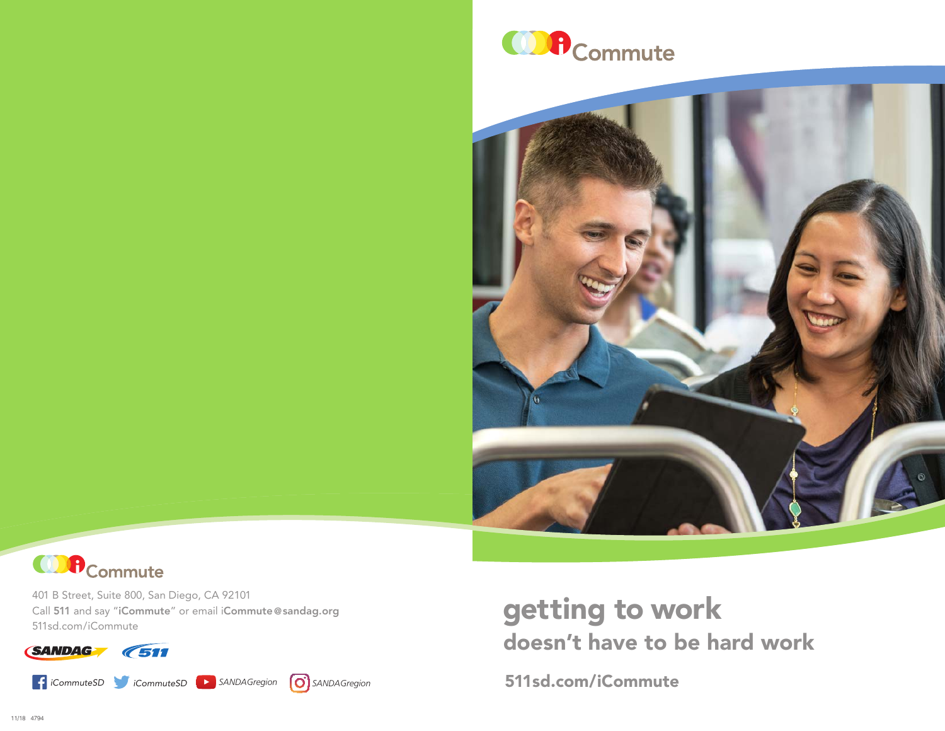





401 B Street, Suite 800, San Diego, CA 92101 Call 511 and say "iCommute" or email iCommute [@sandag.org](mailto:iCommute%40sandag.org?subject=) [511sd.com/iCommute](http://511sd.com/iCommute)

**SANDAG 7511** 

*[iCommuteSD](https://www.facebook.com/iCommuteSD) [iCommuteSD](https://twitter.com/iCommuteSD) [SANDAGregion](https://www.youtube.com/user/SANDAGREGION?ob=0&feature=results_main) [SANDAGregion](https://www.instagram.com/sandagregion/?hl=en)* [511sd.com/iCommute](http://511sd.com/iCommute)



# getting to work doesn't have to be hard work